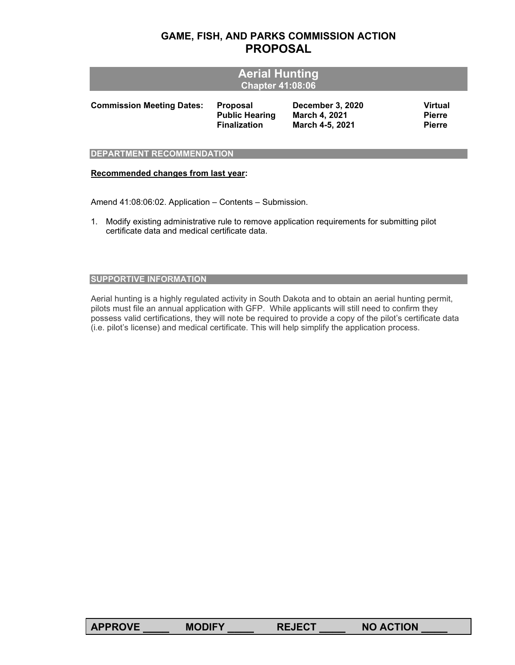# **GAME, FISH, AND PARKS COMMISSION ACTION PROPOSAL**

| <b>Aerial Hunting</b><br><b>Chapter 41:08:06</b> |                       |                  |               |  |  |
|--------------------------------------------------|-----------------------|------------------|---------------|--|--|
| <b>Commission Meeting Dates:</b>                 | <b>Proposal</b>       | December 3, 2020 | Virtual       |  |  |
|                                                  | <b>Public Hearing</b> | March 4, 2021    | <b>Pierre</b> |  |  |
|                                                  | <b>Finalization</b>   | March 4-5, 2021  | <b>Pierre</b> |  |  |

## **DEPARTMENT RECOMMENDATION**

#### **Recommended changes from last year:**

Amend 41:08:06:02. Application – Contents – Submission.

1. Modify existing administrative rule to remove application requirements for submitting pilot certificate data and medical certificate data.

## **SUPPORTIVE INFORMATION**

Aerial hunting is a highly regulated activity in South Dakota and to obtain an aerial hunting permit, pilots must file an annual application with GFP. While applicants will still need to confirm they possess valid certifications, they will note be required to provide a copy of the pilot's certificate data (i.e. pilot's license) and medical certificate. This will help simplify the application process.

| <b>NO ACTION</b><br><b>APPROVE</b><br><b>MODIFY</b><br><b>REJECT</b> |  |
|----------------------------------------------------------------------|--|
|----------------------------------------------------------------------|--|